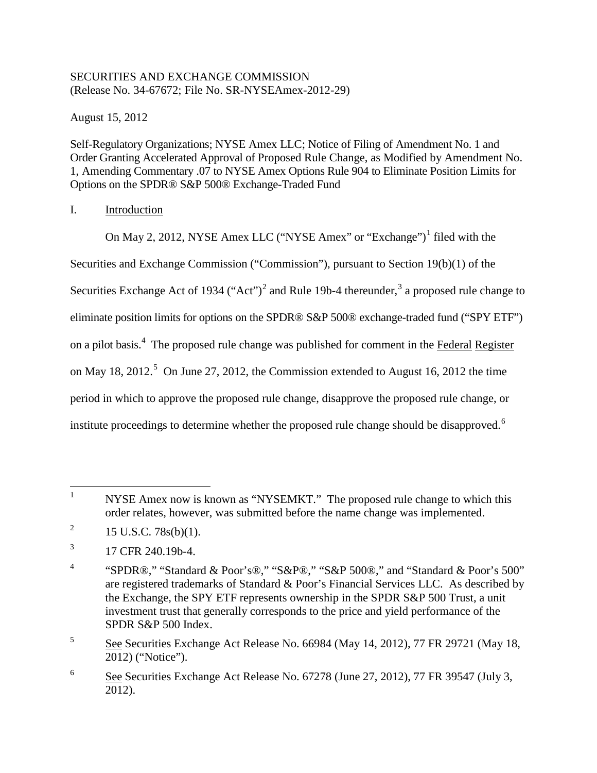# SECURITIES AND EXCHANGE COMMISSION (Release No. 34-67672; File No. SR-NYSEAmex-2012-29)

August 15, 2012

Self-Regulatory Organizations; NYSE Amex LLC; Notice of Filing of Amendment No. 1 and Order Granting Accelerated Approval of Proposed Rule Change, as Modified by Amendment No. 1, Amending Commentary .07 to NYSE Amex Options Rule 904 to Eliminate Position Limits for Options on the SPDR® S&P 500® Exchange-Traded Fund

# I. Introduction

On May 2, 20[1](#page-0-0)2, NYSE Amex LLC ("NYSE Amex" or "Exchange")<sup>1</sup> filed with the Securities and Exchange Commission ("Commission"), pursuant to Section 19(b)(1) of the Securities Exchange Act of 1934 ("Act")<sup>[2](#page-0-1)</sup> and Rule 19b-4 thereunder,<sup>[3](#page-0-2)</sup> a proposed rule change to eliminate position limits for options on the SPDR® S&P 500® exchange-traded fund ("SPY ETF") on a pilot basis.[4](#page-0-3) The proposed rule change was published for comment in the Federal Register on May 18, 2012.<sup>[5](#page-0-4)</sup> On June 27, 2012, the Commission extended to August 16, 2012 the time period in which to approve the proposed rule change, disapprove the proposed rule change, or institute proceedings to determine whether the proposed rule change should be disapproved.<sup>[6](#page-0-5)</sup>

<span id="page-0-0"></span><sup>&</sup>lt;sup>1</sup> NYSE Amex now is known as "NYSEMKT." The proposed rule change to which this order relates, however, was submitted before the name change was implemented.

<span id="page-0-1"></span><sup>&</sup>lt;sup>2</sup> 15 U.S.C. 78s(b)(1).

<span id="page-0-2"></span> $^{3}$  17 CFR 240.19b-4.

<span id="page-0-3"></span><sup>4</sup> "SPDR®," "Standard & Poor's®," "S&P®," "S&P 500®," and "Standard & Poor's 500" are registered trademarks of Standard & Poor's Financial Services LLC. As described by the Exchange, the SPY ETF represents ownership in the SPDR S&P 500 Trust, a unit investment trust that generally corresponds to the price and yield performance of the SPDR S&P 500 Index.

<span id="page-0-4"></span><sup>&</sup>lt;sup>5</sup> See Securities Exchange Act Release No. 66984 (May 14, 2012), 77 FR 29721 (May 18, 2012) ("Notice").

<span id="page-0-5"></span><sup>6</sup> See Securities Exchange Act Release No. 67278 (June 27, 2012), 77 FR 39547 (July 3, 2012).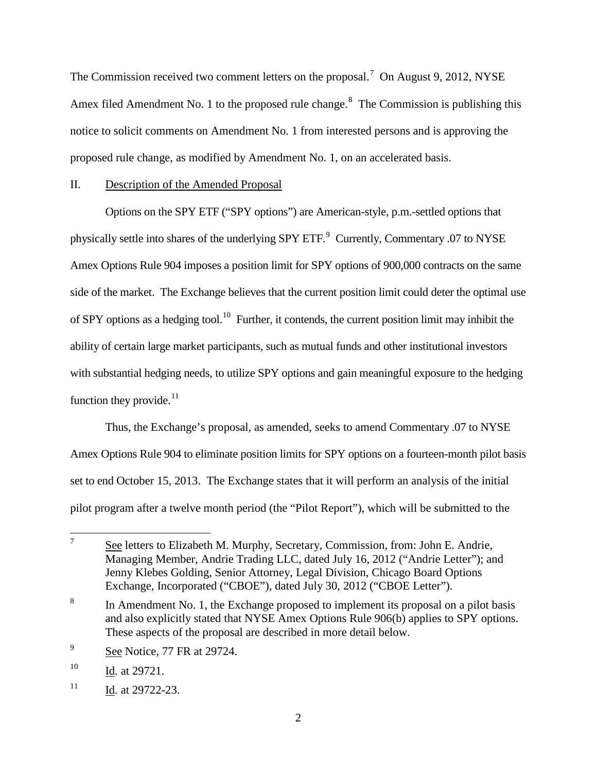The Commission received two comment letters on the proposal.<sup>[7](#page-1-0)</sup> On August 9, 2012, NYSE Amex filed Amendment No. 1 to the proposed rule change.<sup>[8](#page-1-1)</sup> The Commission is publishing this notice to solicit comments on Amendment No. 1 from interested persons and is approving the proposed rule change, as modified by Amendment No. 1, on an accelerated basis.

## II. Description of the Amended Proposal

Options on the SPY ETF ("SPY options") are American-style, p.m.-settled options that physically settle into shares of the underlying SPY ETF.<sup>[9](#page-1-2)</sup> Currently, Commentary .07 to NYSE Amex Options Rule 904 imposes a position limit for SPY options of 900,000 contracts on the same side of the market. The Exchange believes that the current position limit could deter the optimal use of SPY options as a hedging tool.<sup>10</sup> Further, it contends, the current position limit may inhibit the ability of certain large market participants, such as mutual funds and other institutional investors with substantial hedging needs, to utilize SPY options and gain meaningful exposure to the hedging function they provide. $11$ 

Thus, the Exchange's proposal, as amended, seeks to amend Commentary .07 to NYSE Amex Options Rule 904 to eliminate position limits for SPY options on a fourteen-month pilot basis set to end October 15, 2013. The Exchange states that it will perform an analysis of the initial pilot program after a twelve month period (the "Pilot Report"), which will be submitted to the

<span id="page-1-0"></span> $7^7$  See letters to Elizabeth M. Murphy, Secretary, Commission, from: John E. Andrie, Managing Member, Andrie Trading LLC, dated July 16, 2012 ("Andrie Letter"); and Jenny Klebes Golding, Senior Attorney, Legal Division, Chicago Board Options Exchange, Incorporated ("CBOE"), dated July 30, 2012 ("CBOE Letter").

<span id="page-1-1"></span><sup>&</sup>lt;sup>8</sup> In Amendment No. 1, the Exchange proposed to implement its proposal on a pilot basis and also explicitly stated that NYSE Amex Options Rule 906(b) applies to SPY options. These aspects of the proposal are described in more detail below.

<span id="page-1-2"></span><sup>&</sup>lt;sup>9</sup> See Notice, 77 FR at 29724.

<span id="page-1-3"></span><sup>&</sup>lt;sup>10</sup> Id. at 29721.

<span id="page-1-4"></span> $11$  Id. at 29722-23.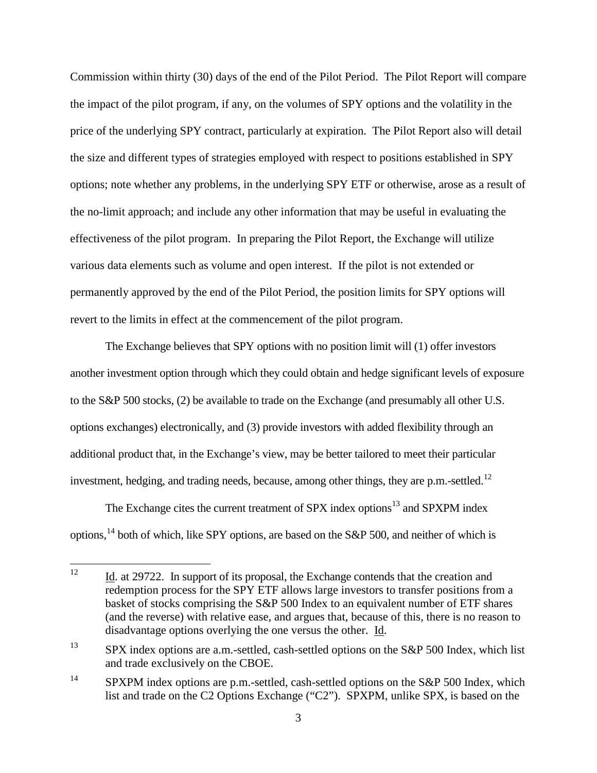Commission within thirty (30) days of the end of the Pilot Period. The Pilot Report will compare the impact of the pilot program, if any, on the volumes of SPY options and the volatility in the price of the underlying SPY contract, particularly at expiration. The Pilot Report also will detail the size and different types of strategies employed with respect to positions established in SPY options; note whether any problems, in the underlying SPY ETF or otherwise, arose as a result of the no-limit approach; and include any other information that may be useful in evaluating the effectiveness of the pilot program. In preparing the Pilot Report, the Exchange will utilize various data elements such as volume and open interest. If the pilot is not extended or permanently approved by the end of the Pilot Period, the position limits for SPY options will revert to the limits in effect at the commencement of the pilot program.

The Exchange believes that SPY options with no position limit will (1) offer investors another investment option through which they could obtain and hedge significant levels of exposure to the S&P 500 stocks, (2) be available to trade on the Exchange (and presumably all other U.S. options exchanges) electronically, and (3) provide investors with added flexibility through an additional product that, in the Exchange's view, may be better tailored to meet their particular investment, hedging, and trading needs, because, among other things, they are  $p.m.-settled.<sup>12</sup>$  $p.m.-settled.<sup>12</sup>$  $p.m.-settled.<sup>12</sup>$ 

The Exchange cites the current treatment of SPX index options<sup>[13](#page-2-1)</sup> and SPXPM index options,  $^{14}$  $^{14}$  $^{14}$  both of which, like SPY options, are based on the S&P 500, and neither of which is

<span id="page-2-0"></span><sup>&</sup>lt;sup>12</sup> Id. at 29722. In support of its proposal, the Exchange contends that the creation and redemption process for the SPY ETF allows large investors to transfer positions from a basket of stocks comprising the S&P 500 Index to an equivalent number of ETF shares (and the reverse) with relative ease, and argues that, because of this, there is no reason to disadvantage options overlying the one versus the other. Id.

<span id="page-2-1"></span><sup>&</sup>lt;sup>13</sup> SPX index options are a.m.-settled, cash-settled options on the S&P 500 Index, which list and trade exclusively on the CBOE.

<span id="page-2-2"></span><sup>&</sup>lt;sup>14</sup> SPXPM index options are p.m.-settled, cash-settled options on the S&P 500 Index, which list and trade on the C2 Options Exchange ("C2"). SPXPM, unlike SPX, is based on the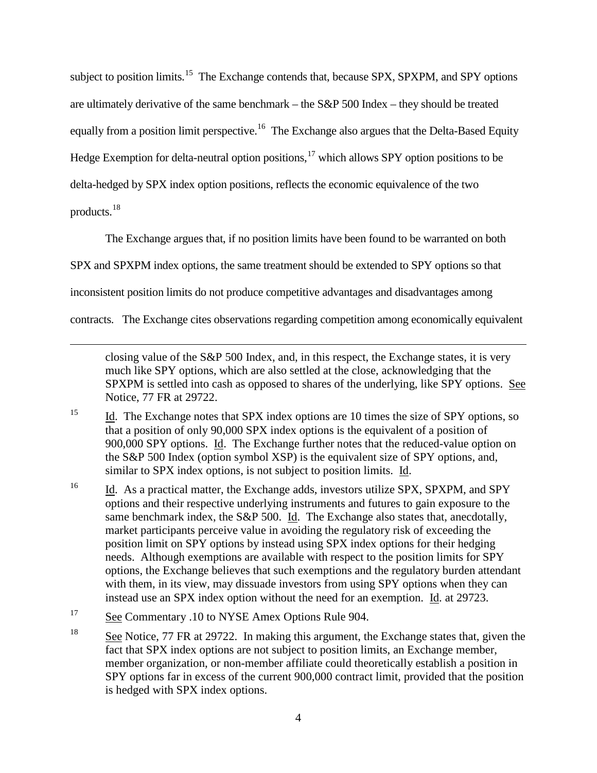subject to position limits.<sup>[15](#page-3-0)</sup> The Exchange contends that, because SPX, SPXPM, and SPY options are ultimately derivative of the same benchmark – the S&P 500 Index – they should be treated equally from a position limit perspective.<sup>[16](#page-3-1)</sup> The Exchange also argues that the Delta-Based Equity Hedge Exemption for delta-neutral option positions, $17$  which allows SPY option positions to be delta-hedged by SPX index option positions, reflects the economic equivalence of the two products.[18](#page-3-3)

The Exchange argues that, if no position limits have been found to be warranted on both

SPX and SPXPM index options, the same treatment should be extended to SPY options so that

inconsistent position limits do not produce competitive advantages and disadvantages among

contracts. The Exchange cites observations regarding competition among economically equivalent

closing value of the S&P 500 Index, and, in this respect, the Exchange states, it is very much like SPY options, which are also settled at the close, acknowledging that the SPXPM is settled into cash as opposed to shares of the underlying, like SPY options. See Notice, 77 FR at 29722.

- <span id="page-3-0"></span><sup>15</sup> Id. The Exchange notes that SPX index options are 10 times the size of SPY options, so that a position of only 90,000 SPX index options is the equivalent of a position of 900,000 SPY options. Id. The Exchange further notes that the reduced-value option on the S&P 500 Index (option symbol XSP) is the equivalent size of SPY options, and, similar to SPX index options, is not subject to position limits. Id.
- <span id="page-3-1"></span><sup>16</sup> Id. As a practical matter, the Exchange adds, investors utilize SPX, SPXPM, and SPY options and their respective underlying instruments and futures to gain exposure to the same benchmark index, the S&P 500. Id. The Exchange also states that, anecdotally, market participants perceive value in avoiding the regulatory risk of exceeding the position limit on SPY options by instead using SPX index options for their hedging needs. Although exemptions are available with respect to the position limits for SPY options, the Exchange believes that such exemptions and the regulatory burden attendant with them, in its view, may dissuade investors from using SPY options when they can instead use an SPX index option without the need for an exemption. Id. at 29723.
- <span id="page-3-2"></span><sup>17</sup> See Commentary .10 to NYSE Amex Options Rule 904.

 $\overline{a}$ 

<span id="page-3-3"></span><sup>18</sup> See Notice, 77 FR at 29722. In making this argument, the Exchange states that, given the fact that SPX index options are not subject to position limits, an Exchange member, member organization, or non-member affiliate could theoretically establish a position in SPY options far in excess of the current 900,000 contract limit, provided that the position is hedged with SPX index options.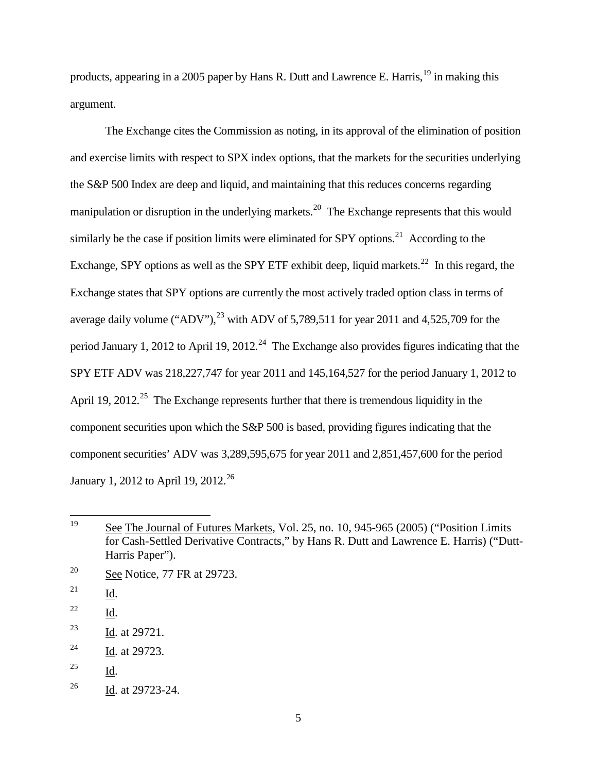products, appearing in a 2005 paper by Hans R. Dutt and Lawrence E. Harris,  $^{19}$  $^{19}$  $^{19}$  in making this argument.

The Exchange cites the Commission as noting, in its approval of the elimination of position and exercise limits with respect to SPX index options, that the markets for the securities underlying the S&P 500 Index are deep and liquid, and maintaining that this reduces concerns regarding manipulation or disruption in the underlying markets.<sup>20</sup> The Exchange represents that this would similarly be the case if position limits were eliminated for SPY options.<sup>21</sup> According to the Exchange, SPY options as well as the SPY ETF exhibit deep, liquid markets.<sup>22</sup> In this regard, the Exchange states that SPY options are currently the most actively traded option class in terms of average daily volume ("ADV"), $^{23}$  $^{23}$  $^{23}$  with ADV of 5,789,511 for year 2011 and 4,525,709 for the period January 1, 2012 to April 19, 2012.<sup>[24](#page-4-5)</sup> The Exchange also provides figures indicating that the SPY ETF ADV was 218,227,747 for year 2011 and 145,164,527 for the period January 1, 2012 to April 19, 2012.<sup>25</sup> The Exchange represents further that there is tremendous liquidity in the component securities upon which the S&P 500 is based, providing figures indicating that the component securities' ADV was 3,289,595,675 for year 2011 and 2,851,457,600 for the period January 1, 2012 to April 19, 2012.<sup>[26](#page-4-7)</sup>

<span id="page-4-0"></span><sup>&</sup>lt;sup>19</sup> See The Journal of Futures Markets, Vol. 25, no. 10, 945-965 (2005) ("Position Limits" for Cash-Settled Derivative Contracts," by Hans R. Dutt and Lawrence E. Harris) ("Dutt-Harris Paper").

<span id="page-4-1"></span> $20$  See Notice, 77 FR at 29723.

<span id="page-4-2"></span> $^{21}$  Id.

<span id="page-4-3"></span><sup>22</sup> Id.

<span id="page-4-4"></span><sup>23</sup> Id. at 29721.

<span id="page-4-5"></span><sup>&</sup>lt;sup>24</sup> Id. at 29723.

<span id="page-4-6"></span><sup>25</sup> Id.

<span id="page-4-7"></span><sup>&</sup>lt;sup>26</sup> Id. at 29723-24.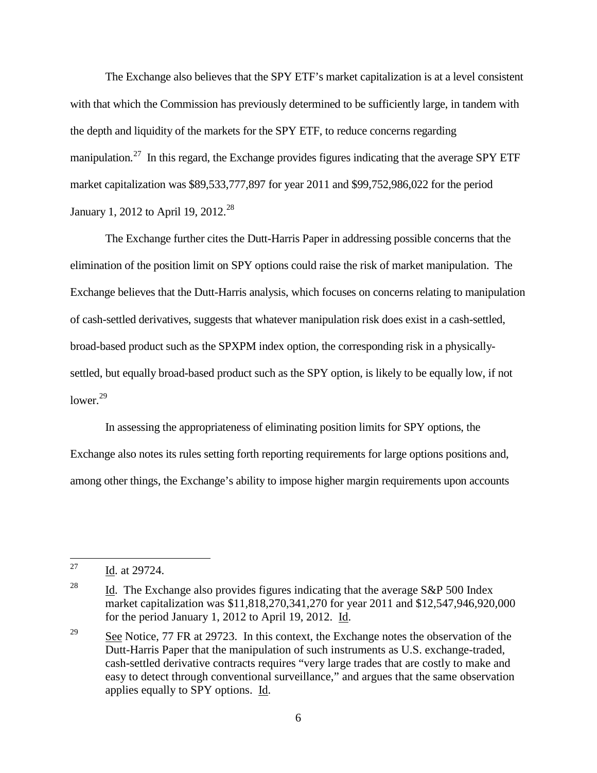The Exchange also believes that the SPY ETF's market capitalization is at a level consistent with that which the Commission has previously determined to be sufficiently large, in tandem with the depth and liquidity of the markets for the SPY ETF, to reduce concerns regarding manipulation.<sup>[27](#page-5-0)</sup> In this regard, the Exchange provides figures indicating that the average SPY ETF market capitalization was \$89,533,777,897 for year 2011 and \$99,752,986,022 for the period January 1, 2012 to April 19, 2012.<sup>[28](#page-5-1)</sup>

The Exchange further cites the Dutt-Harris Paper in addressing possible concerns that the elimination of the position limit on SPY options could raise the risk of market manipulation. The Exchange believes that the Dutt-Harris analysis, which focuses on concerns relating to manipulation of cash-settled derivatives, suggests that whatever manipulation risk does exist in a cash-settled, broad-based product such as the SPXPM index option, the corresponding risk in a physicallysettled, but equally broad-based product such as the SPY option, is likely to be equally low, if not lower. $29$ 

In assessing the appropriateness of eliminating position limits for SPY options, the Exchange also notes its rules setting forth reporting requirements for large options positions and, among other things, the Exchange's ability to impose higher margin requirements upon accounts

<span id="page-5-0"></span><sup>&</sup>lt;sup>27</sup> Id. at 29724.

<span id="page-5-1"></span><sup>&</sup>lt;sup>28</sup> Id. The Exchange also provides figures indicating that the average S&P 500 Index market capitalization was \$11,818,270,341,270 for year 2011 and \$12,547,946,920,000 for the period January 1, 2012 to April 19, 2012. Id.

<span id="page-5-2"></span><sup>&</sup>lt;sup>29</sup> See Notice, 77 FR at 29723. In this context, the Exchange notes the observation of the Dutt-Harris Paper that the manipulation of such instruments as U.S. exchange-traded, cash-settled derivative contracts requires "very large trades that are costly to make and easy to detect through conventional surveillance," and argues that the same observation applies equally to SPY options. Id.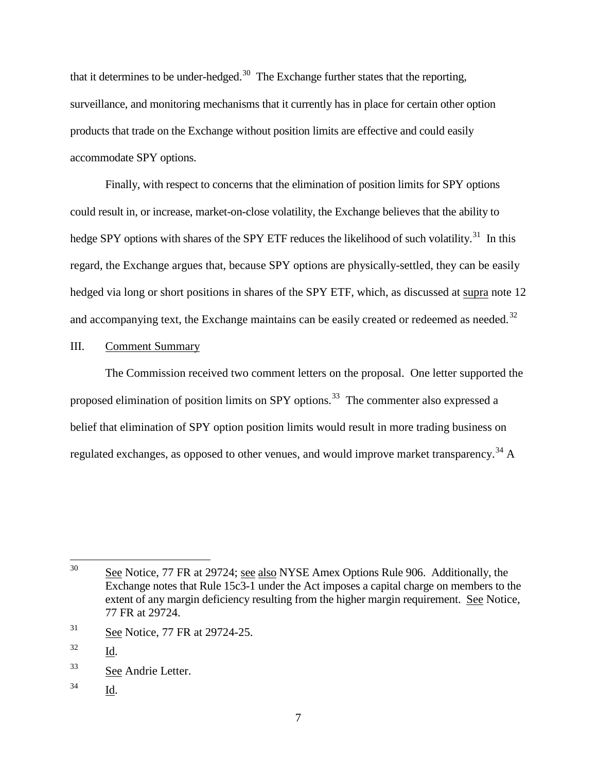that it determines to be under-hedged.<sup>[30](#page-6-0)</sup> The Exchange further states that the reporting, surveillance, and monitoring mechanisms that it currently has in place for certain other option products that trade on the Exchange without position limits are effective and could easily accommodate SPY options.

Finally, with respect to concerns that the elimination of position limits for SPY options could result in, or increase, market-on-close volatility, the Exchange believes that the ability to hedge SPY options with shares of the SPY ETF reduces the likelihood of such volatility.<sup>[31](#page-6-1)</sup> In this regard, the Exchange argues that, because SPY options are physically-settled, they can be easily hedged via long or short positions in shares of the SPY ETF, which, as discussed at supra note 12 and accompanying text, the Exchange maintains can be easily created or redeemed as needed.<sup>[32](#page-6-2)</sup>

## III. Comment Summary

The Commission received two comment letters on the proposal. One letter supported the proposed elimination of position limits on SPY options.<sup>33</sup> The commenter also expressed a belief that elimination of SPY option position limits would result in more trading business on regulated exchanges, as opposed to other venues, and would improve market transparency.<sup>[34](#page-6-4)</sup> A

<span id="page-6-4"></span><sup>34</sup> Id.

<span id="page-6-0"></span><sup>&</sup>lt;sup>30</sup> See Notice, 77 FR at 29724; see also NYSE Amex Options Rule 906. Additionally, the Exchange notes that Rule 15c3-1 under the Act imposes a capital charge on members to the extent of any margin deficiency resulting from the higher margin requirement. See Notice, 77 FR at 29724.

<span id="page-6-1"></span><sup>&</sup>lt;sup>31</sup> See Notice, 77 FR at 29724-25.

<span id="page-6-2"></span><sup>32</sup> Id.

<span id="page-6-3"></span><sup>33</sup> See Andrie Letter.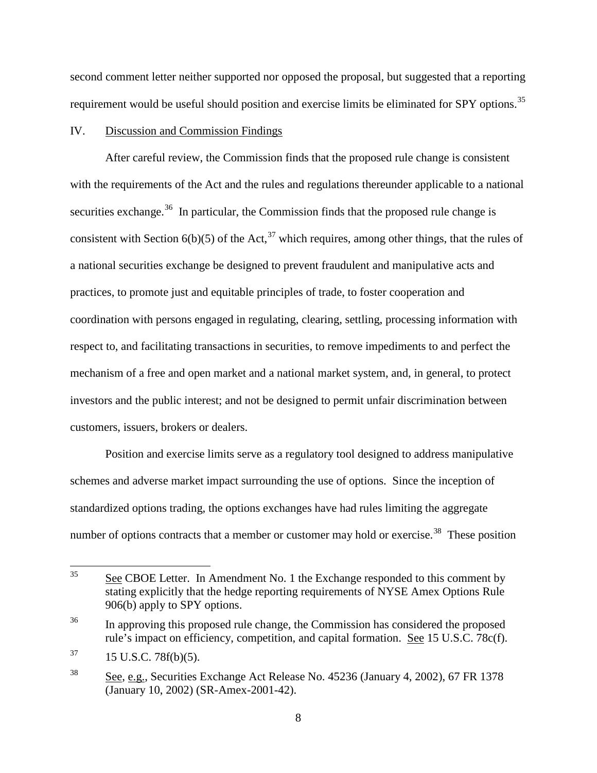second comment letter neither supported nor opposed the proposal, but suggested that a reporting requirement would be useful should position and exercise limits be eliminated for SPY options.<sup>[35](#page-7-0)</sup>

## IV. Discussion and Commission Findings

After careful review, the Commission finds that the proposed rule change is consistent with the requirements of the Act and the rules and regulations thereunder applicable to a national securities exchange.<sup>[36](#page-7-1)</sup> In particular, the Commission finds that the proposed rule change is consistent with Section  $6(b)(5)$  of the Act,<sup>[37](#page-7-2)</sup> which requires, among other things, that the rules of a national securities exchange be designed to prevent fraudulent and manipulative acts and practices, to promote just and equitable principles of trade, to foster cooperation and coordination with persons engaged in regulating, clearing, settling, processing information with respect to, and facilitating transactions in securities, to remove impediments to and perfect the mechanism of a free and open market and a national market system, and, in general, to protect investors and the public interest; and not be designed to permit unfair discrimination between customers, issuers, brokers or dealers.

Position and exercise limits serve as a regulatory tool designed to address manipulative schemes and adverse market impact surrounding the use of options. Since the inception of standardized options trading, the options exchanges have had rules limiting the aggregate number of options contracts that a member or customer may hold or exercise.<sup>[38](#page-7-3)</sup> These position

<span id="page-7-0"></span><sup>&</sup>lt;sup>35</sup> See CBOE Letter. In Amendment No. 1 the Exchange responded to this comment by stating explicitly that the hedge reporting requirements of NYSE Amex Options Rule 906(b) apply to SPY options.

<span id="page-7-1"></span><sup>&</sup>lt;sup>36</sup> In approving this proposed rule change, the Commission has considered the proposed rule's impact on efficiency, competition, and capital formation. See 15 U.S.C. 78c(f).

<span id="page-7-2"></span> $37$  15 U.S.C. 78f(b)(5).

<span id="page-7-3"></span><sup>38</sup> See, e.g., Securities Exchange Act Release No. 45236 (January 4, 2002), 67 FR 1378 (January 10, 2002) (SR-Amex-2001-42).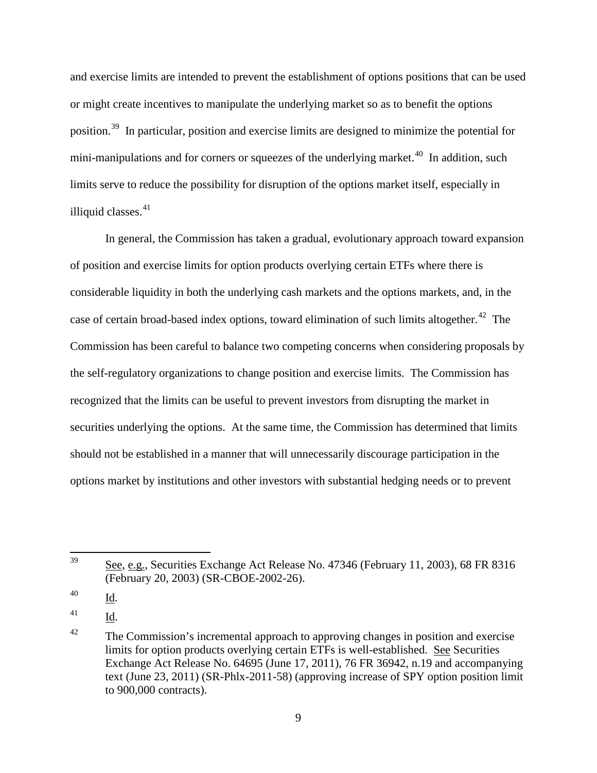and exercise limits are intended to prevent the establishment of options positions that can be used or might create incentives to manipulate the underlying market so as to benefit the options position.[39](#page-8-0) In particular, position and exercise limits are designed to minimize the potential for mini-manipulations and for corners or squeezes of the underlying market.<sup>40</sup> In addition, such limits serve to reduce the possibility for disruption of the options market itself, especially in illiquid classes. $41$ 

In general, the Commission has taken a gradual, evolutionary approach toward expansion of position and exercise limits for option products overlying certain ETFs where there is considerable liquidity in both the underlying cash markets and the options markets, and, in the case of certain broad-based index options, toward elimination of such limits altogether.<sup>42</sup> The Commission has been careful to balance two competing concerns when considering proposals by the self-regulatory organizations to change position and exercise limits. The Commission has recognized that the limits can be useful to prevent investors from disrupting the market in securities underlying the options. At the same time, the Commission has determined that limits should not be established in a manner that will unnecessarily discourage participation in the options market by institutions and other investors with substantial hedging needs or to prevent

<span id="page-8-0"></span> <sup>39</sup> See, e.g., Securities Exchange Act Release No. 47346 (February 11, 2003), 68 FR 8316 (February 20, 2003) (SR-CBOE-2002-26).

<span id="page-8-1"></span><sup>40</sup> Id.

<span id="page-8-2"></span><sup>41</sup> Id.

<span id="page-8-3"></span> $42$  The Commission's incremental approach to approving changes in position and exercise limits for option products overlying certain ETFs is well-established. See Securities Exchange Act Release No. 64695 (June 17, 2011), 76 FR 36942, n.19 and accompanying text (June 23, 2011) (SR-Phlx-2011-58) (approving increase of SPY option position limit to 900,000 contracts).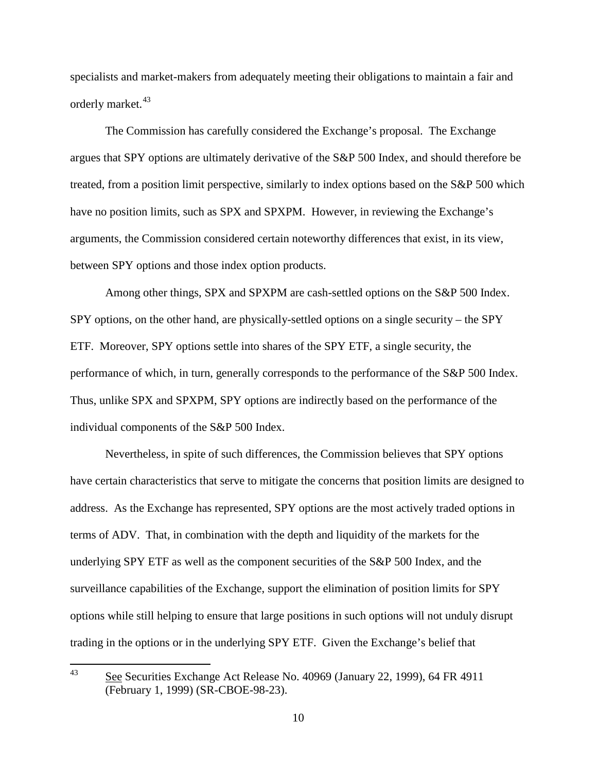specialists and market-makers from adequately meeting their obligations to maintain a fair and orderly market.<sup>[43](#page-9-0)</sup>

The Commission has carefully considered the Exchange's proposal. The Exchange argues that SPY options are ultimately derivative of the S&P 500 Index, and should therefore be treated, from a position limit perspective, similarly to index options based on the S&P 500 which have no position limits, such as SPX and SPXPM. However, in reviewing the Exchange's arguments, the Commission considered certain noteworthy differences that exist, in its view, between SPY options and those index option products.

Among other things, SPX and SPXPM are cash-settled options on the S&P 500 Index. SPY options, on the other hand, are physically-settled options on a single security – the SPY ETF. Moreover, SPY options settle into shares of the SPY ETF, a single security, the performance of which, in turn, generally corresponds to the performance of the S&P 500 Index. Thus, unlike SPX and SPXPM, SPY options are indirectly based on the performance of the individual components of the S&P 500 Index.

Nevertheless, in spite of such differences, the Commission believes that SPY options have certain characteristics that serve to mitigate the concerns that position limits are designed to address. As the Exchange has represented, SPY options are the most actively traded options in terms of ADV. That, in combination with the depth and liquidity of the markets for the underlying SPY ETF as well as the component securities of the S&P 500 Index, and the surveillance capabilities of the Exchange, support the elimination of position limits for SPY options while still helping to ensure that large positions in such options will not unduly disrupt trading in the options or in the underlying SPY ETF. Given the Exchange's belief that

<span id="page-9-0"></span> <sup>43</sup> See Securities Exchange Act Release No. 40969 (January 22, 1999), 64 FR 4911 (February 1, 1999) (SR-CBOE-98-23).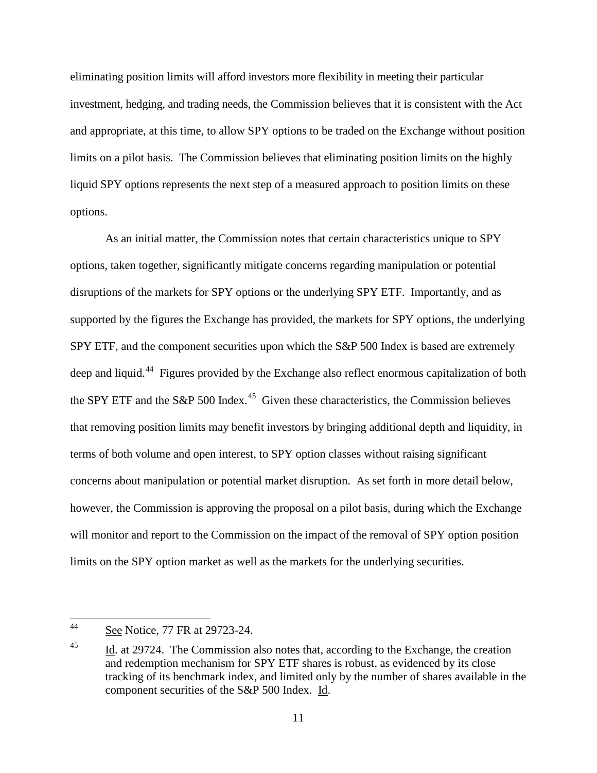eliminating position limits will afford investors more flexibility in meeting their particular investment, hedging, and trading needs, the Commission believes that it is consistent with the Act and appropriate, at this time, to allow SPY options to be traded on the Exchange without position limits on a pilot basis. The Commission believes that eliminating position limits on the highly liquid SPY options represents the next step of a measured approach to position limits on these options.

As an initial matter, the Commission notes that certain characteristics unique to SPY options, taken together, significantly mitigate concerns regarding manipulation or potential disruptions of the markets for SPY options or the underlying SPY ETF. Importantly, and as supported by the figures the Exchange has provided, the markets for SPY options, the underlying SPY ETF, and the component securities upon which the S&P 500 Index is based are extremely deep and liquid.<sup>44</sup> Figures provided by the Exchange also reflect enormous capitalization of both the SPY ETF and the S&P 500 Index.<sup>45</sup> Given these characteristics, the Commission believes that removing position limits may benefit investors by bringing additional depth and liquidity, in terms of both volume and open interest, to SPY option classes without raising significant concerns about manipulation or potential market disruption. As set forth in more detail below, however, the Commission is approving the proposal on a pilot basis, during which the Exchange will monitor and report to the Commission on the impact of the removal of SPY option position limits on the SPY option market as well as the markets for the underlying securities.

<span id="page-10-0"></span> <sup>44</sup> See Notice, 77 FR at 29723-24.

<span id="page-10-1"></span><sup>&</sup>lt;sup>45</sup> Id. at 29724. The Commission also notes that, according to the Exchange, the creation and redemption mechanism for SPY ETF shares is robust, as evidenced by its close tracking of its benchmark index, and limited only by the number of shares available in the component securities of the S&P 500 Index. Id.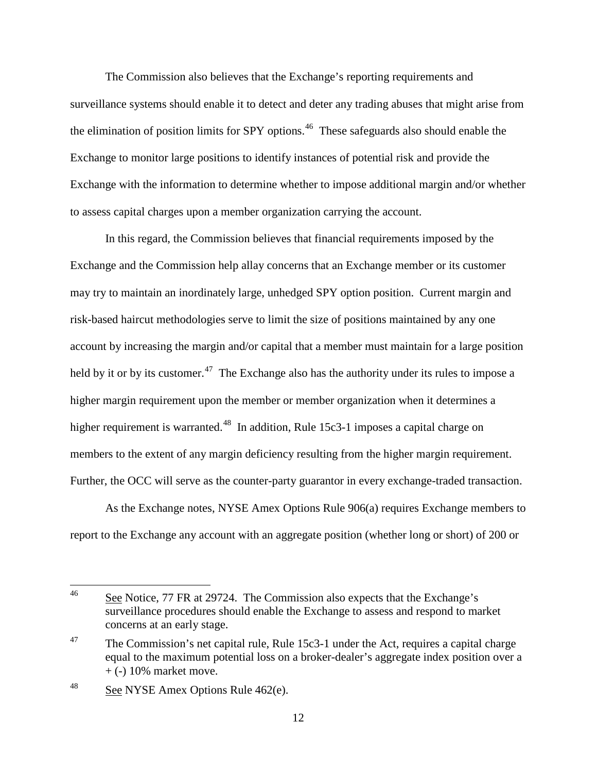The Commission also believes that the Exchange's reporting requirements and surveillance systems should enable it to detect and deter any trading abuses that might arise from the elimination of position limits for SPY options.<sup>[46](#page-11-0)</sup> These safeguards also should enable the Exchange to monitor large positions to identify instances of potential risk and provide the Exchange with the information to determine whether to impose additional margin and/or whether to assess capital charges upon a member organization carrying the account.

In this regard, the Commission believes that financial requirements imposed by the Exchange and the Commission help allay concerns that an Exchange member or its customer may try to maintain an inordinately large, unhedged SPY option position. Current margin and risk-based haircut methodologies serve to limit the size of positions maintained by any one account by increasing the margin and/or capital that a member must maintain for a large position held by it or by its customer.<sup>[47](#page-11-1)</sup> The Exchange also has the authority under its rules to impose a higher margin requirement upon the member or member organization when it determines a higher requirement is warranted.<sup>[48](#page-11-2)</sup> In addition, Rule 15c3-1 imposes a capital charge on members to the extent of any margin deficiency resulting from the higher margin requirement. Further, the OCC will serve as the counter-party guarantor in every exchange-traded transaction.

As the Exchange notes, NYSE Amex Options Rule 906(a) requires Exchange members to report to the Exchange any account with an aggregate position (whether long or short) of 200 or

<span id="page-11-0"></span><sup>&</sup>lt;sup>46</sup> See Notice, 77 FR at 29724. The Commission also expects that the Exchange's surveillance procedures should enable the Exchange to assess and respond to market concerns at an early stage.

<span id="page-11-1"></span> $47$  The Commission's net capital rule, Rule 15c3-1 under the Act, requires a capital charge equal to the maximum potential loss on a broker-dealer's aggregate index position over a  $+$  (-) 10% market move.

<span id="page-11-2"></span><sup>&</sup>lt;sup>48</sup> See NYSE Amex Options Rule 462(e).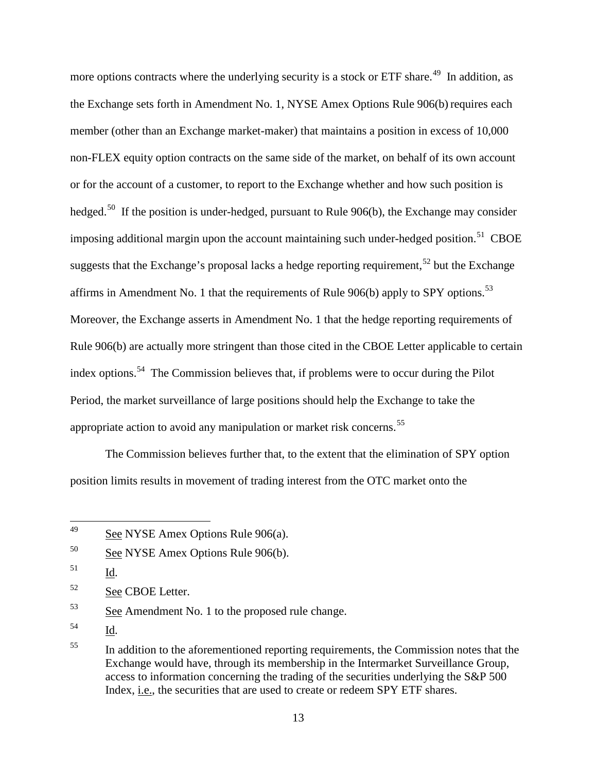more options contracts where the underlying security is a stock or ETF share.<sup>[49](#page-12-0)</sup> In addition, as the Exchange sets forth in Amendment No. 1, NYSE Amex Options Rule 906(b) requires each member (other than an Exchange market-maker) that maintains a position in excess of 10,000 non-FLEX equity option contracts on the same side of the market, on behalf of its own account or for the account of a customer, to report to the Exchange whether and how such position is hedged.<sup>[50](#page-12-1)</sup> If the position is under-hedged, pursuant to Rule 906(b), the Exchange may consider imposing additional margin upon the account maintaining such under-hedged position.<sup>[51](#page-12-2)</sup> CBOE suggests that the Exchange's proposal lacks a hedge reporting requirement,<sup>[52](#page-12-3)</sup> but the Exchange affirms in Amendment No. 1 that the requirements of Rule  $906(b)$  apply to SPY options.<sup>53</sup> Moreover, the Exchange asserts in Amendment No. 1 that the hedge reporting requirements of Rule 906(b) are actually more stringent than those cited in the CBOE Letter applicable to certain index options.<sup>54</sup> The Commission believes that, if problems were to occur during the Pilot Period, the market surveillance of large positions should help the Exchange to take the appropriate action to avoid any manipulation or market risk concerns.<sup>[55](#page-12-6)</sup>

The Commission believes further that, to the extent that the elimination of SPY option position limits results in movement of trading interest from the OTC market onto the

<span id="page-12-5"></span><sup>54</sup> Id.

<span id="page-12-0"></span> <sup>49</sup> See NYSE Amex Options Rule 906(a).

<span id="page-12-1"></span><sup>50</sup> See NYSE Amex Options Rule 906(b).

<span id="page-12-2"></span><sup>51</sup> Id.

<span id="page-12-3"></span><sup>52</sup> See CBOE Letter.

<span id="page-12-4"></span><sup>&</sup>lt;sup>53</sup> See Amendment No. 1 to the proposed rule change.

<span id="page-12-6"></span><sup>&</sup>lt;sup>55</sup> In addition to the aforementioned reporting requirements, the Commission notes that the Exchange would have, through its membership in the Intermarket Surveillance Group, access to information concerning the trading of the securities underlying the S&P 500 Index, i.e., the securities that are used to create or redeem SPY ETF shares.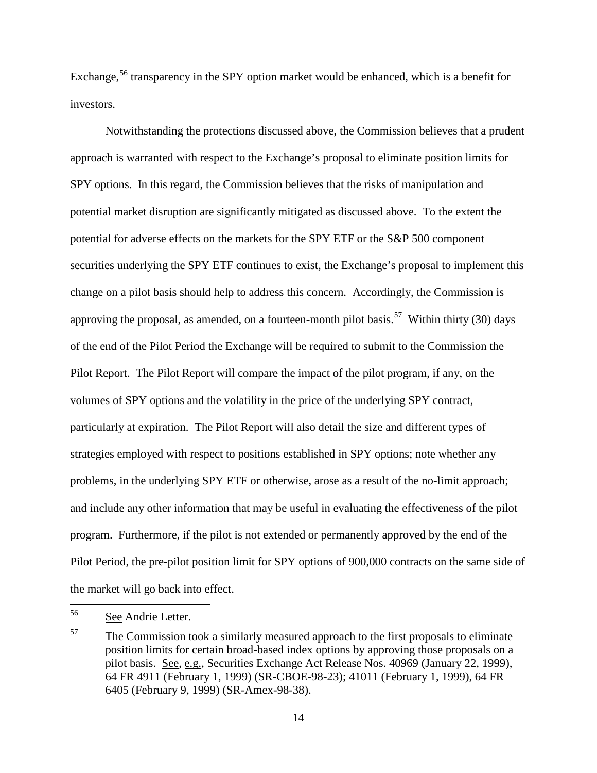Exchange,<sup>[56](#page-13-0)</sup> transparency in the SPY option market would be enhanced, which is a benefit for investors.

Notwithstanding the protections discussed above, the Commission believes that a prudent approach is warranted with respect to the Exchange's proposal to eliminate position limits for SPY options. In this regard, the Commission believes that the risks of manipulation and potential market disruption are significantly mitigated as discussed above. To the extent the potential for adverse effects on the markets for the SPY ETF or the S&P 500 component securities underlying the SPY ETF continues to exist, the Exchange's proposal to implement this change on a pilot basis should help to address this concern. Accordingly, the Commission is approving the proposal, as amended, on a fourteen-month pilot basis.<sup>57</sup> Within thirty (30) days of the end of the Pilot Period the Exchange will be required to submit to the Commission the Pilot Report. The Pilot Report will compare the impact of the pilot program, if any, on the volumes of SPY options and the volatility in the price of the underlying SPY contract, particularly at expiration. The Pilot Report will also detail the size and different types of strategies employed with respect to positions established in SPY options; note whether any problems, in the underlying SPY ETF or otherwise, arose as a result of the no-limit approach; and include any other information that may be useful in evaluating the effectiveness of the pilot program. Furthermore, if the pilot is not extended or permanently approved by the end of the Pilot Period, the pre-pilot position limit for SPY options of 900,000 contracts on the same side of the market will go back into effect.

<span id="page-13-0"></span><sup>&</sup>lt;sup>56</sup> See Andrie Letter.

<span id="page-13-1"></span> $57$  The Commission took a similarly measured approach to the first proposals to eliminate position limits for certain broad-based index options by approving those proposals on a pilot basis. See, e.g., Securities Exchange Act Release Nos. 40969 (January 22, 1999), 64 FR 4911 (February 1, 1999) (SR-CBOE-98-23); 41011 (February 1, 1999), 64 FR 6405 (February 9, 1999) (SR-Amex-98-38).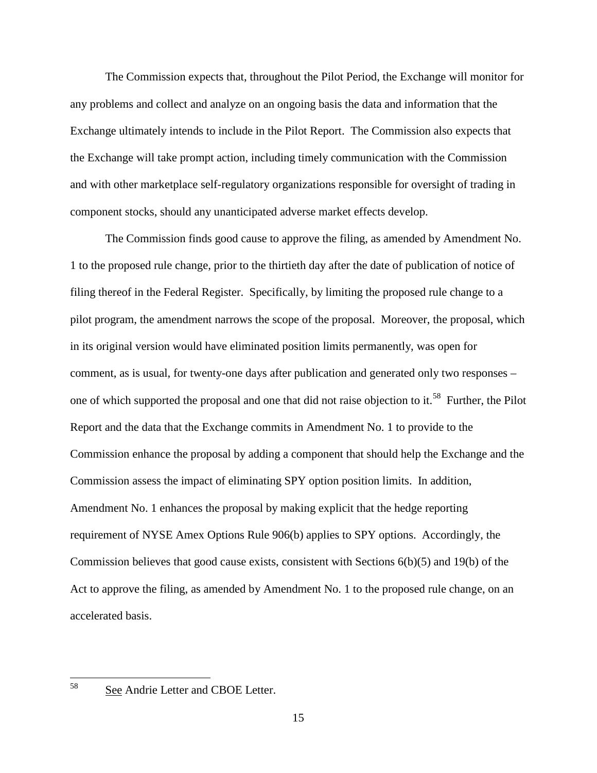The Commission expects that, throughout the Pilot Period, the Exchange will monitor for any problems and collect and analyze on an ongoing basis the data and information that the Exchange ultimately intends to include in the Pilot Report. The Commission also expects that the Exchange will take prompt action, including timely communication with the Commission and with other marketplace self-regulatory organizations responsible for oversight of trading in component stocks, should any unanticipated adverse market effects develop.

The Commission finds good cause to approve the filing, as amended by Amendment No. 1 to the proposed rule change, prior to the thirtieth day after the date of publication of notice of filing thereof in the Federal Register. Specifically, by limiting the proposed rule change to a pilot program, the amendment narrows the scope of the proposal. Moreover, the proposal, which in its original version would have eliminated position limits permanently, was open for comment, as is usual, for twenty-one days after publication and generated only two responses – one of which supported the proposal and one that did not raise objection to it.<sup>[58](#page-14-0)</sup> Further, the Pilot Report and the data that the Exchange commits in Amendment No. 1 to provide to the Commission enhance the proposal by adding a component that should help the Exchange and the Commission assess the impact of eliminating SPY option position limits. In addition, Amendment No. 1 enhances the proposal by making explicit that the hedge reporting requirement of NYSE Amex Options Rule 906(b) applies to SPY options. Accordingly, the Commission believes that good cause exists, consistent with Sections 6(b)(5) and 19(b) of the Act to approve the filing, as amended by Amendment No. 1 to the proposed rule change, on an accelerated basis.

<span id="page-14-0"></span> <sup>58</sup> See Andrie Letter and CBOE Letter.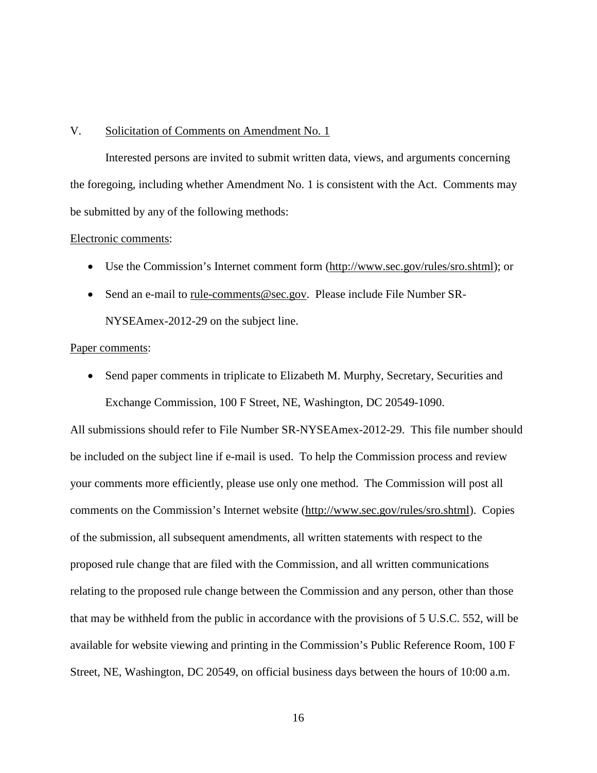### V. Solicitation of Comments on Amendment No. 1

Interested persons are invited to submit written data, views, and arguments concerning the foregoing, including whether Amendment No. 1 is consistent with the Act. Comments may be submitted by any of the following methods:

#### Electronic comments:

- Use the Commission's Internet comment form [\(http://www.sec.gov/rules/sro.shtml\)](http://www.sec.gov/rules/sro.shtml); or
- Send an e-mail to [rule-comments@sec.gov.](mailto:rule-comments@sec.gov) Please include File Number SR-NYSEAmex-2012-29 on the subject line.

### Paper comments:

• Send paper comments in triplicate to Elizabeth M. Murphy, Secretary, Securities and Exchange Commission, 100 F Street, NE, Washington, DC 20549-1090.

All submissions should refer to File Number SR-NYSEAmex-2012-29. This file number should be included on the subject line if e-mail is used. To help the Commission process and review your comments more efficiently, please use only one method. The Commission will post all comments on the Commission's Internet website [\(http://www.sec.gov/rules/sro.shtml\)](http://www.sec.gov/rules/sro.shtml). Copies of the submission, all subsequent amendments, all written statements with respect to the proposed rule change that are filed with the Commission, and all written communications relating to the proposed rule change between the Commission and any person, other than those that may be withheld from the public in accordance with the provisions of 5 U.S.C. 552, will be available for website viewing and printing in the Commission's Public Reference Room, 100 F Street, NE, Washington, DC 20549, on official business days between the hours of 10:00 a.m.